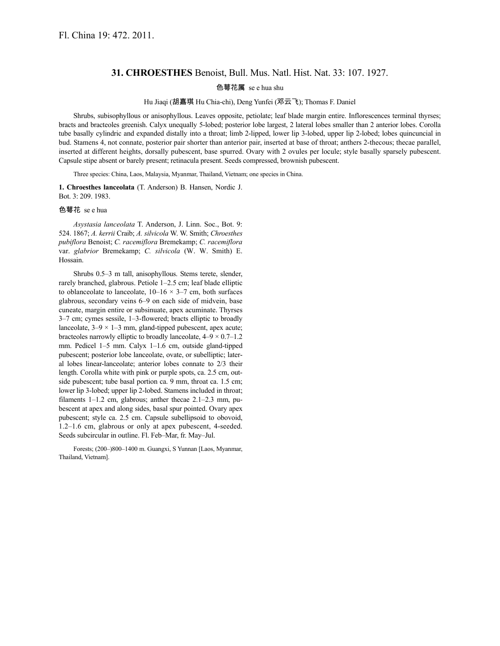## **31. CHROESTHES** Benoist, Bull. Mus. Natl. Hist. Nat. 33: 107. 1927.

## 色萼花属 se e hua shu

Hu Jiaqi (胡嘉琪 Hu Chia-chi), Deng Yunfei (邓云飞); Thomas F. Daniel

Shrubs, subisophyllous or anisophyllous. Leaves opposite, petiolate; leaf blade margin entire. Inflorescences terminal thyrses; bracts and bracteoles greenish. Calyx unequally 5-lobed; posterior lobe largest, 2 lateral lobes smaller than 2 anterior lobes. Corolla tube basally cylindric and expanded distally into a throat; limb 2-lipped, lower lip 3-lobed, upper lip 2-lobed; lobes quincuncial in bud. Stamens 4, not connate, posterior pair shorter than anterior pair, inserted at base of throat; anthers 2-thecous; thecae parallel, inserted at different heights, dorsally pubescent, base spurred. Ovary with 2 ovules per locule; style basally sparsely pubescent. Capsule stipe absent or barely present; retinacula present. Seeds compressed, brownish pubescent.

Three species: China, Laos, Malaysia, Myanmar, Thailand, Vietnam; one species in China.

**1. Chroesthes lanceolata** (T. Anderson) B. Hansen, Nordic J. Bot. 3: 209. 1983.

## 色萼花 se e hua

*Asystasia lanceolata* T. Anderson, J. Linn. Soc., Bot. 9: 524. 1867; *A. kerrii* Craib; *A. silvicola* W. W. Smith; *Chroesthes pubiflora* Benoist; *C. racemiflora* Bremekamp; *C. racemiflora* var. *glabrior* Bremekamp; *C. silvicola* (W. W. Smith) E. Hossain.

Shrubs 0.5–3 m tall, anisophyllous. Stems terete, slender, rarely branched, glabrous. Petiole 1–2.5 cm; leaf blade elliptic to oblanceolate to lanceolate,  $10-16 \times 3-7$  cm, both surfaces glabrous, secondary veins 6–9 on each side of midvein, base cuneate, margin entire or subsinuate, apex acuminate. Thyrses 3–7 cm; cymes sessile, 1–3-flowered; bracts elliptic to broadly lanceolate,  $3-9 \times 1-3$  mm, gland-tipped pubescent, apex acute; bracteoles narrowly elliptic to broadly lanceolate, 4–9 × 0.7–1.2 mm. Pedicel 1–5 mm. Calyx 1–1.6 cm, outside gland-tipped pubescent; posterior lobe lanceolate, ovate, or subelliptic; lateral lobes linear-lanceolate; anterior lobes connate to 2/3 their length. Corolla white with pink or purple spots, ca. 2.5 cm, outside pubescent; tube basal portion ca. 9 mm, throat ca. 1.5 cm; lower lip 3-lobed; upper lip 2-lobed. Stamens included in throat; filaments 1–1.2 cm, glabrous; anther thecae 2.1–2.3 mm, pubescent at apex and along sides, basal spur pointed. Ovary apex pubescent; style ca. 2.5 cm. Capsule subellipsoid to obovoid, 1.2–1.6 cm, glabrous or only at apex pubescent, 4-seeded. Seeds subcircular in outline. Fl. Feb–Mar, fr. May–Jul.

Forests; (200–)800–1400 m. Guangxi, S Yunnan [Laos, Myanmar, Thailand, Vietnam].